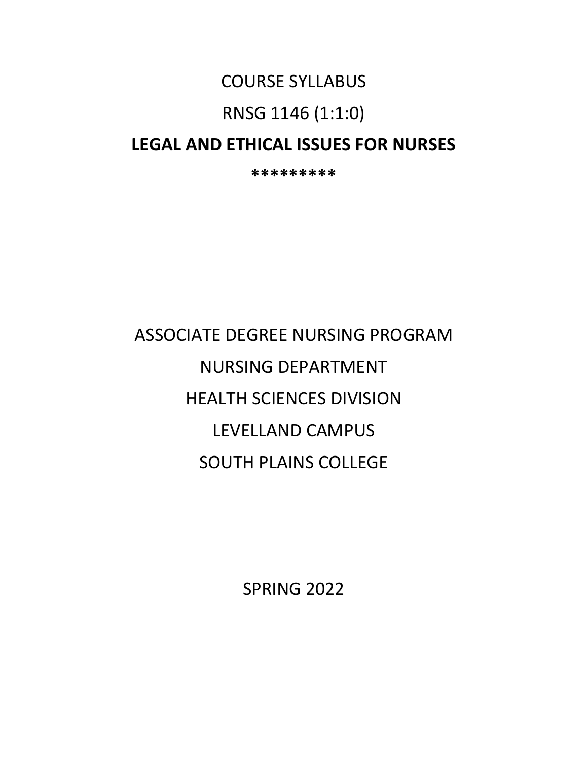# COURSE SYLLABUS

# RNSG 1146 (1:1:0)

# **LEGAL AND ETHICAL ISSUES FOR NURSES**

**\*\*\*\*\*\*\*\*\***

# ASSOCIATE DEGREE NURSING PROGRAM NURSING DEPARTMENT HEALTH SCIENCES DIVISION LEVELLAND CAMPUS SOUTH PLAINS COLLEGE

SPRING 2022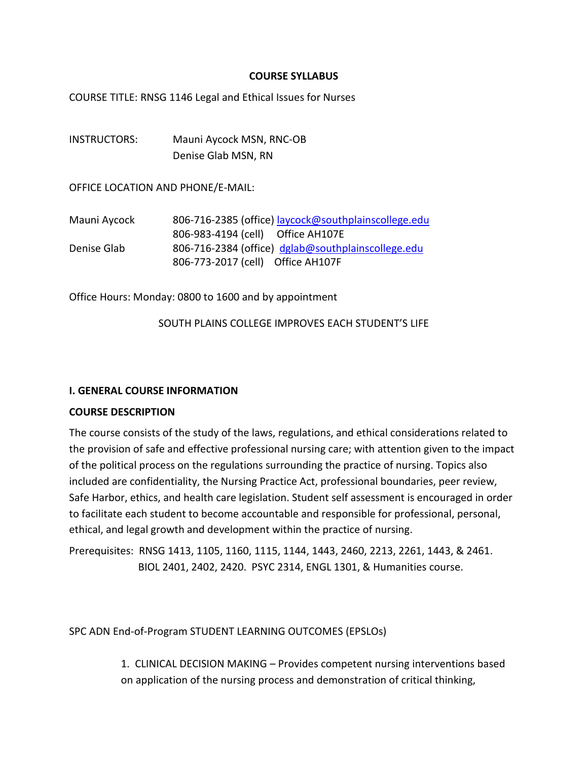#### **COURSE SYLLABUS**

COURSE TITLE: RNSG 1146 Legal and Ethical Issues for Nurses

INSTRUCTORS: Mauni Aycock MSN, RNC-OB Denise Glab MSN, RN

OFFICE LOCATION AND PHONE/E-MAIL:

| Mauni Aycock | 806-716-2385 (office) laycock@southplainscollege.edu |
|--------------|------------------------------------------------------|
|              | 806-983-4194 (cell) Office AH107E                    |
| Denise Glab  | 806-716-2384 (office) dglab@southplainscollege.edu   |
|              | 806-773-2017 (cell) Office AH107F                    |

Office Hours: Monday: 0800 to 1600 and by appointment

SOUTH PLAINS COLLEGE IMPROVES EACH STUDENT'S LIFE

#### **I. GENERAL COURSE INFORMATION**

#### **COURSE DESCRIPTION**

The course consists of the study of the laws, regulations, and ethical considerations related to the provision of safe and effective professional nursing care; with attention given to the impact of the political process on the regulations surrounding the practice of nursing. Topics also included are confidentiality, the Nursing Practice Act, professional boundaries, peer review, Safe Harbor, ethics, and health care legislation. Student self assessment is encouraged in order to facilitate each student to become accountable and responsible for professional, personal, ethical, and legal growth and development within the practice of nursing.

Prerequisites: RNSG 1413, 1105, 1160, 1115, 1144, 1443, 2460, 2213, 2261, 1443, & 2461. BIOL 2401, 2402, 2420. PSYC 2314, ENGL 1301, & Humanities course.

SPC ADN End-of-Program STUDENT LEARNING OUTCOMES (EPSLOs)

1. CLINICAL DECISION MAKING – Provides competent nursing interventions based on application of the nursing process and demonstration of critical thinking,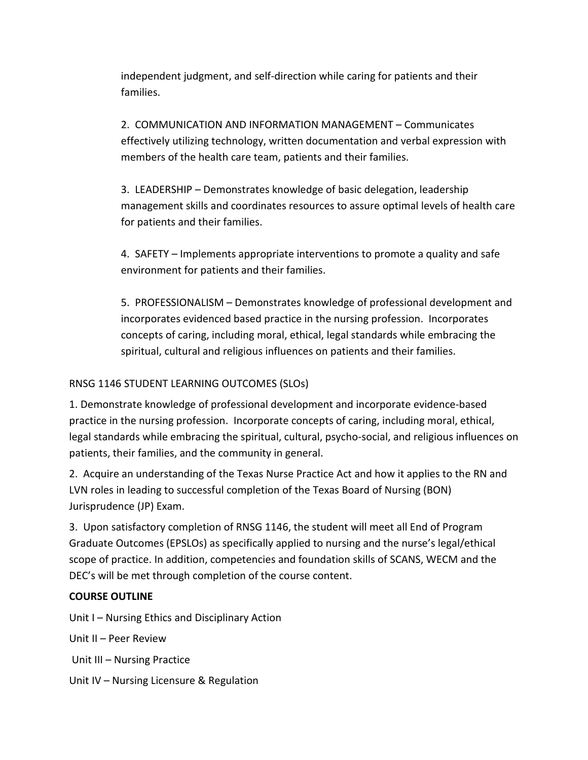independent judgment, and self-direction while caring for patients and their families.

2. COMMUNICATION AND INFORMATION MANAGEMENT – Communicates effectively utilizing technology, written documentation and verbal expression with members of the health care team, patients and their families.

3. LEADERSHIP – Demonstrates knowledge of basic delegation, leadership management skills and coordinates resources to assure optimal levels of health care for patients and their families.

4. SAFETY – Implements appropriate interventions to promote a quality and safe environment for patients and their families.

5. PROFESSIONALISM – Demonstrates knowledge of professional development and incorporates evidenced based practice in the nursing profession. Incorporates concepts of caring, including moral, ethical, legal standards while embracing the spiritual, cultural and religious influences on patients and their families.

# RNSG 1146 STUDENT LEARNING OUTCOMES (SLOs)

1. Demonstrate knowledge of professional development and incorporate evidence-based practice in the nursing profession. Incorporate concepts of caring, including moral, ethical, legal standards while embracing the spiritual, cultural, psycho-social, and religious influences on patients, their families, and the community in general.

2. Acquire an understanding of the Texas Nurse Practice Act and how it applies to the RN and LVN roles in leading to successful completion of the Texas Board of Nursing (BON) Jurisprudence (JP) Exam.

3. Upon satisfactory completion of RNSG 1146, the student will meet all End of Program Graduate Outcomes (EPSLOs) as specifically applied to nursing and the nurse's legal/ethical scope of practice. In addition, competencies and foundation skills of SCANS, WECM and the DEC's will be met through completion of the course content.

# **COURSE OUTLINE**

Unit I – Nursing Ethics and Disciplinary Action

Unit II – Peer Review

Unit III – Nursing Practice

Unit IV – Nursing Licensure & Regulation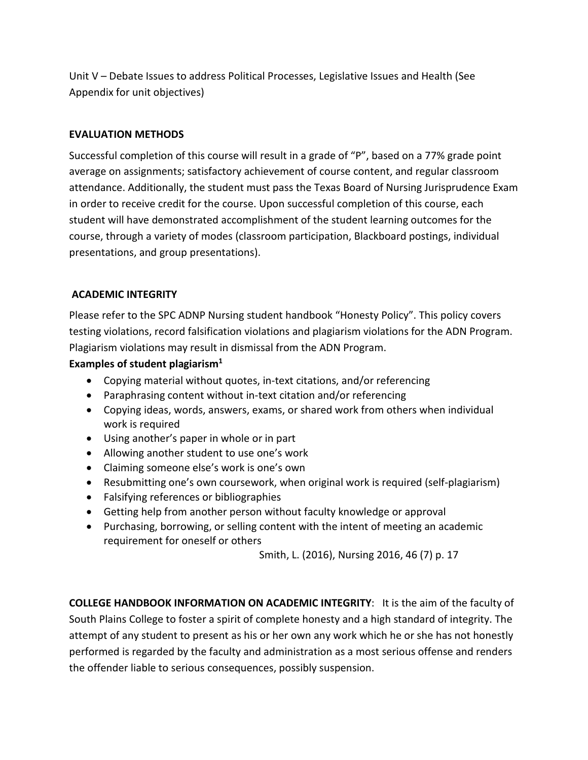Unit V – Debate Issues to address Political Processes, Legislative Issues and Health (See Appendix for unit objectives)

#### **EVALUATION METHODS**

Successful completion of this course will result in a grade of "P", based on a 77% grade point average on assignments; satisfactory achievement of course content, and regular classroom attendance. Additionally, the student must pass the Texas Board of Nursing Jurisprudence Exam in order to receive credit for the course. Upon successful completion of this course, each student will have demonstrated accomplishment of the student learning outcomes for the course, through a variety of modes (classroom participation, Blackboard postings, individual presentations, and group presentations).

#### **ACADEMIC INTEGRITY**

Please refer to the SPC ADNP Nursing student handbook "Honesty Policy". This policy covers testing violations, record falsification violations and plagiarism violations for the ADN Program. Plagiarism violations may result in dismissal from the ADN Program.

#### **Examples of student plagiarism1**

- Copying material without quotes, in-text citations, and/or referencing
- Paraphrasing content without in-text citation and/or referencing
- Copying ideas, words, answers, exams, or shared work from others when individual work is required
- Using another's paper in whole or in part
- Allowing another student to use one's work
- Claiming someone else's work is one's own
- Resubmitting one's own coursework, when original work is required (self-plagiarism)
- Falsifying references or bibliographies
- Getting help from another person without faculty knowledge or approval
- Purchasing, borrowing, or selling content with the intent of meeting an academic requirement for oneself or others

Smith, L. (2016), Nursing 2016, 46 (7) p. 17

**COLLEGE HANDBOOK INFORMATION ON ACADEMIC INTEGRITY**: It is the aim of the faculty of South Plains College to foster a spirit of complete honesty and a high standard of integrity. The attempt of any student to present as his or her own any work which he or she has not honestly performed is regarded by the faculty and administration as a most serious offense and renders the offender liable to serious consequences, possibly suspension.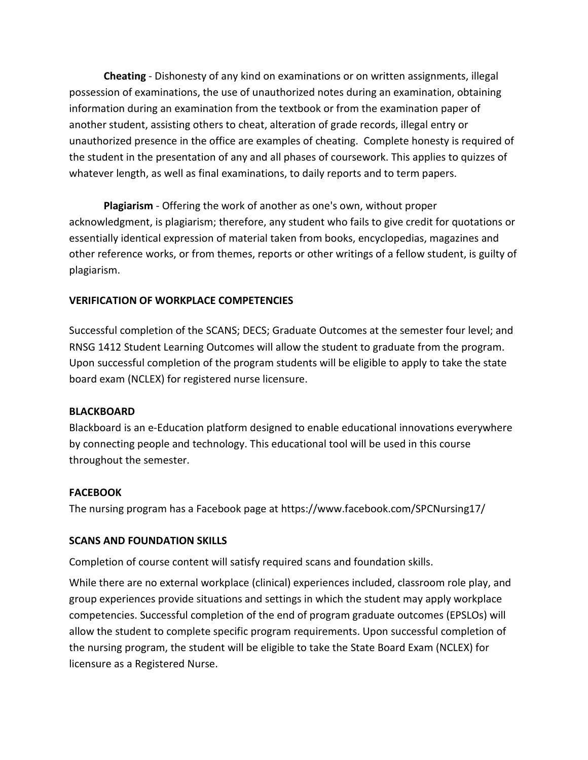**Cheating** - Dishonesty of any kind on examinations or on written assignments, illegal possession of examinations, the use of unauthorized notes during an examination, obtaining information during an examination from the textbook or from the examination paper of another student, assisting others to cheat, alteration of grade records, illegal entry or unauthorized presence in the office are examples of cheating. Complete honesty is required of the student in the presentation of any and all phases of coursework. This applies to quizzes of whatever length, as well as final examinations, to daily reports and to term papers.

**Plagiarism** - Offering the work of another as one's own, without proper acknowledgment, is plagiarism; therefore, any student who fails to give credit for quotations or essentially identical expression of material taken from books, encyclopedias, magazines and other reference works, or from themes, reports or other writings of a fellow student, is guilty of plagiarism.

# **VERIFICATION OF WORKPLACE COMPETENCIES**

Successful completion of the SCANS; DECS; Graduate Outcomes at the semester four level; and RNSG 1412 Student Learning Outcomes will allow the student to graduate from the program. Upon successful completion of the program students will be eligible to apply to take the state board exam (NCLEX) for registered nurse licensure.

# **BLACKBOARD**

Blackboard is an e-Education platform designed to enable educational innovations everywhere by connecting people and technology. This educational tool will be used in this course throughout the semester.

#### **FACEBOOK**

The nursing program has a Facebook page at https://www.facebook.com/SPCNursing17/

# **SCANS AND FOUNDATION SKILLS**

Completion of course content will satisfy required scans and foundation skills.

While there are no external workplace (clinical) experiences included, classroom role play, and group experiences provide situations and settings in which the student may apply workplace competencies. Successful completion of the end of program graduate outcomes (EPSLOs) will allow the student to complete specific program requirements. Upon successful completion of the nursing program, the student will be eligible to take the State Board Exam (NCLEX) for licensure as a Registered Nurse.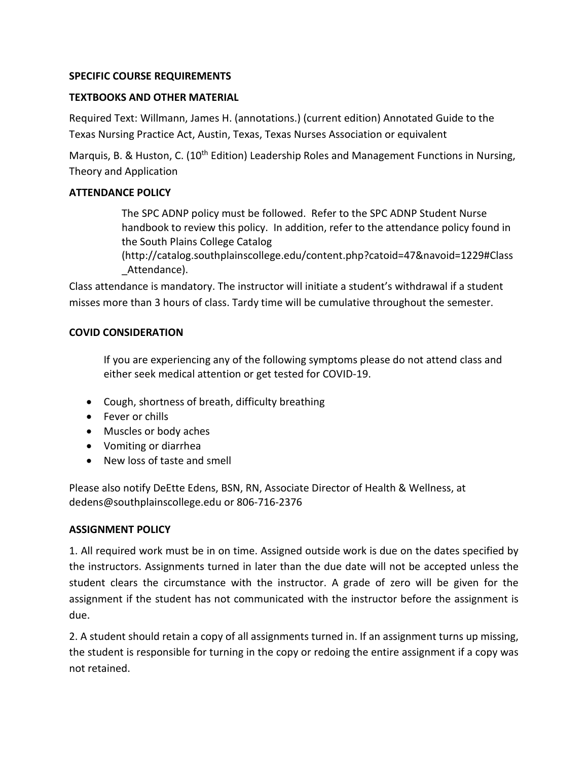#### **SPECIFIC COURSE REQUIREMENTS**

#### **TEXTBOOKS AND OTHER MATERIAL**

Required Text: Willmann, James H. (annotations.) (current edition) Annotated Guide to the Texas Nursing Practice Act, Austin, Texas, Texas Nurses Association or equivalent

Marquis, B. & Huston, C. (10<sup>th</sup> Edition) Leadership Roles and Management Functions in Nursing, Theory and Application

#### **ATTENDANCE POLICY**

The SPC ADNP policy must be followed. Refer to the SPC ADNP Student Nurse handbook to review this policy. In addition, refer to the attendance policy found in the South Plains College Catalog

(http://catalog.southplainscollege.edu/content.php?catoid=47&navoid=1229#Class Attendance).

Class attendance is mandatory. The instructor will initiate a student's withdrawal if a student misses more than 3 hours of class. Tardy time will be cumulative throughout the semester.

#### **COVID CONSIDERATION**

If you are experiencing any of the following symptoms please do not attend class and either seek medical attention or get tested for COVID-19.

- Cough, shortness of breath, difficulty breathing
- Fever or chills
- Muscles or body aches
- Vomiting or diarrhea
- New loss of taste and smell

Please also notify DeEtte Edens, BSN, RN, Associate Director of Health & Wellness, at dedens@southplainscollege.edu or 806-716-2376

#### **ASSIGNMENT POLICY**

1. All required work must be in on time. Assigned outside work is due on the dates specified by the instructors. Assignments turned in later than the due date will not be accepted unless the student clears the circumstance with the instructor. A grade of zero will be given for the assignment if the student has not communicated with the instructor before the assignment is due.

2. A student should retain a copy of all assignments turned in. If an assignment turns up missing, the student is responsible for turning in the copy or redoing the entire assignment if a copy was not retained.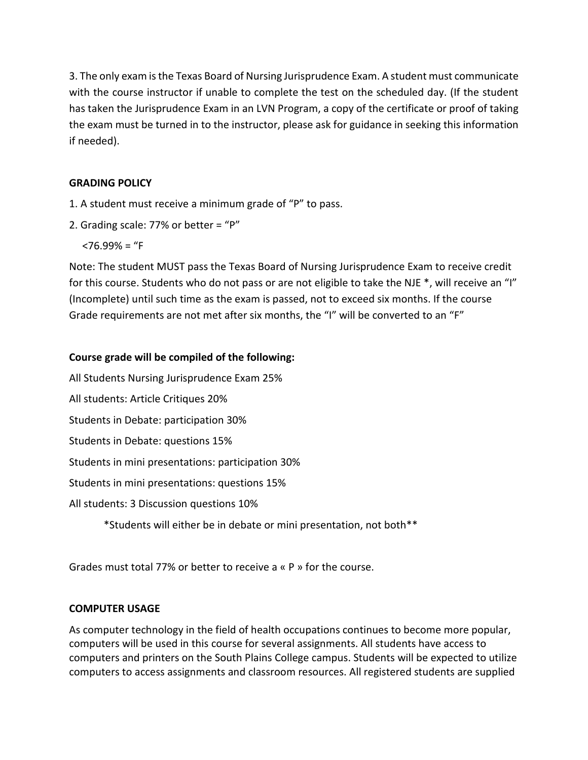3. The only exam is the Texas Board of Nursing Jurisprudence Exam. A student must communicate with the course instructor if unable to complete the test on the scheduled day. (If the student has taken the Jurisprudence Exam in an LVN Program, a copy of the certificate or proof of taking the exam must be turned in to the instructor, please ask for guidance in seeking this information if needed).

# **GRADING POLICY**

- 1. A student must receive a minimum grade of "P" to pass.
- 2. Grading scale: 77% or better = "P"

 $<$ 76.99% = "F

Note: The student MUST pass the Texas Board of Nursing Jurisprudence Exam to receive credit for this course. Students who do not pass or are not eligible to take the NJE \*, will receive an "I" (Incomplete) until such time as the exam is passed, not to exceed six months. If the course Grade requirements are not met after six months, the "I" will be converted to an "F"

# **Course grade will be compiled of the following:**

All Students Nursing Jurisprudence Exam 25%

All students: Article Critiques 20%

Students in Debate: participation 30%

Students in Debate: questions 15%

Students in mini presentations: participation 30%

Students in mini presentations: questions 15%

All students: 3 Discussion questions 10%

\*Students will either be in debate or mini presentation, not both\*\*

Grades must total 77% or better to receive a « P » for the course.

# **COMPUTER USAGE**

As computer technology in the field of health occupations continues to become more popular, computers will be used in this course for several assignments. All students have access to computers and printers on the South Plains College campus. Students will be expected to utilize computers to access assignments and classroom resources. All registered students are supplied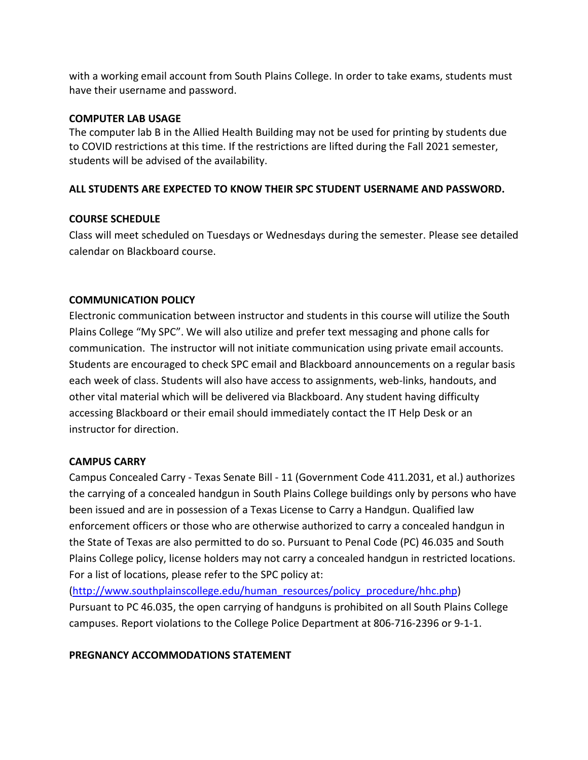with a working email account from South Plains College. In order to take exams, students must have their username and password.

#### **COMPUTER LAB USAGE**

The computer lab B in the Allied Health Building may not be used for printing by students due to COVID restrictions at this time. If the restrictions are lifted during the Fall 2021 semester, students will be advised of the availability.

#### **ALL STUDENTS ARE EXPECTED TO KNOW THEIR SPC STUDENT USERNAME AND PASSWORD.**

#### **COURSE SCHEDULE**

Class will meet scheduled on Tuesdays or Wednesdays during the semester. Please see detailed calendar on Blackboard course.

#### **COMMUNICATION POLICY**

Electronic communication between instructor and students in this course will utilize the South Plains College "My SPC". We will also utilize and prefer text messaging and phone calls for communication. The instructor will not initiate communication using private email accounts. Students are encouraged to check SPC email and Blackboard announcements on a regular basis each week of class. Students will also have access to assignments, web-links, handouts, and other vital material which will be delivered via Blackboard. Any student having difficulty accessing Blackboard or their email should immediately contact the IT Help Desk or an instructor for direction.

#### **CAMPUS CARRY**

Campus Concealed Carry - Texas Senate Bill - 11 (Government Code 411.2031, et al.) authorizes the carrying of a concealed handgun in South Plains College buildings only by persons who have been issued and are in possession of a Texas License to Carry a Handgun. Qualified law enforcement officers or those who are otherwise authorized to carry a concealed handgun in the State of Texas are also permitted to do so. Pursuant to Penal Code (PC) 46.035 and South Plains College policy, license holders may not carry a concealed handgun in restricted locations. For a list of locations, please refer to the SPC policy at:

[\(http://www.southplainscollege.edu/human\\_resources/policy\\_procedure/hhc.php\)](http://www.southplainscollege.edu/human_resources/policy_procedure/hhc.php) Pursuant to PC 46.035, the open carrying of handguns is prohibited on all South Plains College campuses. Report violations to the College Police Department at 806-716-2396 or 9-1-1.

#### **PREGNANCY ACCOMMODATIONS STATEMENT**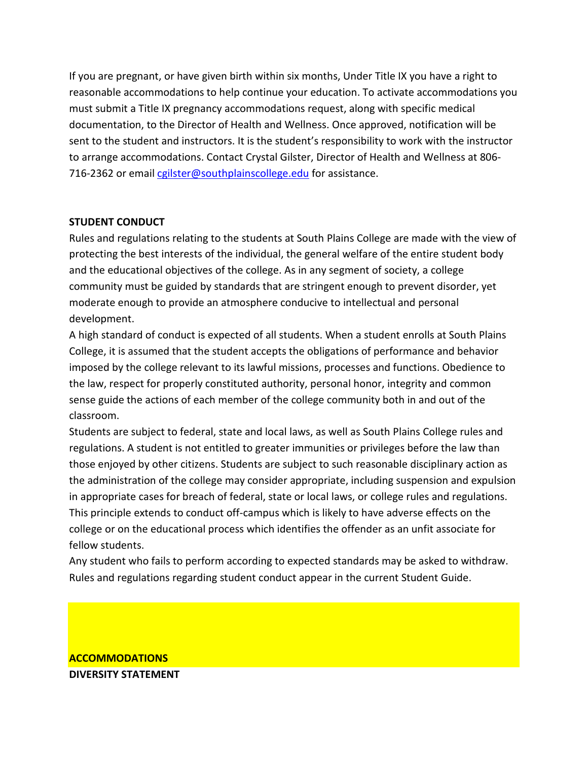If you are pregnant, or have given birth within six months, Under Title IX you have a right to reasonable accommodations to help continue your education. To activate accommodations you must submit a Title IX pregnancy accommodations request, along with specific medical documentation, to the Director of Health and Wellness. Once approved, notification will be sent to the student and instructors. It is the student's responsibility to work with the instructor to arrange accommodations. Contact Crystal Gilster, Director of Health and Wellness at 806- 716-2362 or email callster@southplainscollege.edu for assistance.

# **STUDENT CONDUCT**

Rules and regulations relating to the students at South Plains College are made with the view of protecting the best interests of the individual, the general welfare of the entire student body and the educational objectives of the college. As in any segment of society, a college community must be guided by standards that are stringent enough to prevent disorder, yet moderate enough to provide an atmosphere conducive to intellectual and personal development.

A high standard of conduct is expected of all students. When a student enrolls at South Plains College, it is assumed that the student accepts the obligations of performance and behavior imposed by the college relevant to its lawful missions, processes and functions. Obedience to the law, respect for properly constituted authority, personal honor, integrity and common sense guide the actions of each member of the college community both in and out of the classroom.

Students are subject to federal, state and local laws, as well as South Plains College rules and regulations. A student is not entitled to greater immunities or privileges before the law than those enjoyed by other citizens. Students are subject to such reasonable disciplinary action as the administration of the college may consider appropriate, including suspension and expulsion in appropriate cases for breach of federal, state or local laws, or college rules and regulations. This principle extends to conduct off-campus which is likely to have adverse effects on the college or on the educational process which identifies the offender as an unfit associate for fellow students.

Any student who fails to perform according to expected standards may be asked to withdraw. Rules and regulations regarding student conduct appear in the current Student Guide.

# **ACCOMMODATIONS DIVERSITY STATEMENT**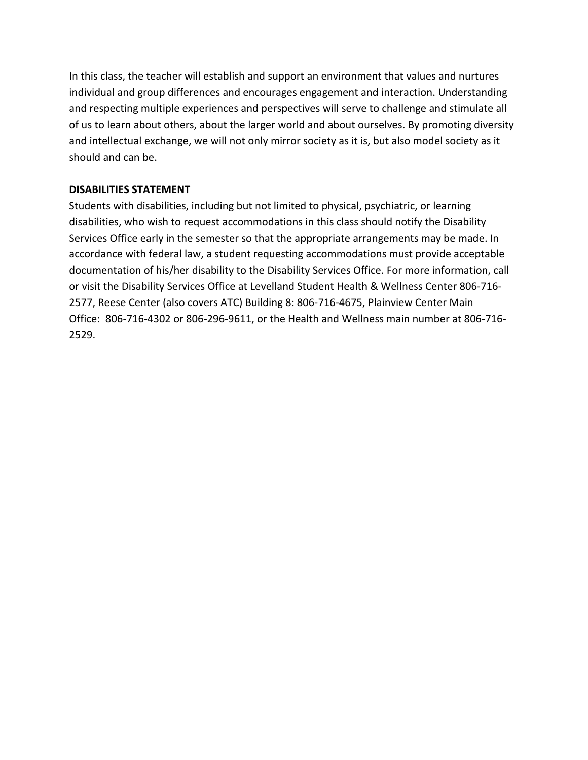In this class, the teacher will establish and support an environment that values and nurtures individual and group differences and encourages engagement and interaction. Understanding and respecting multiple experiences and perspectives will serve to challenge and stimulate all of us to learn about others, about the larger world and about ourselves. By promoting diversity and intellectual exchange, we will not only mirror society as it is, but also model society as it should and can be.

#### **DISABILITIES STATEMENT**

Students with disabilities, including but not limited to physical, psychiatric, or learning disabilities, who wish to request accommodations in this class should notify the Disability Services Office early in the semester so that the appropriate arrangements may be made. In accordance with federal law, a student requesting accommodations must provide acceptable documentation of his/her disability to the Disability Services Office. For more information, call or visit the Disability Services Office at Levelland Student Health & Wellness Center 806-716- 2577, Reese Center (also covers ATC) Building 8: 806-716-4675, Plainview Center Main Office: 806-716-4302 or 806-296-9611, or the Health and Wellness main number at 806-716- 2529.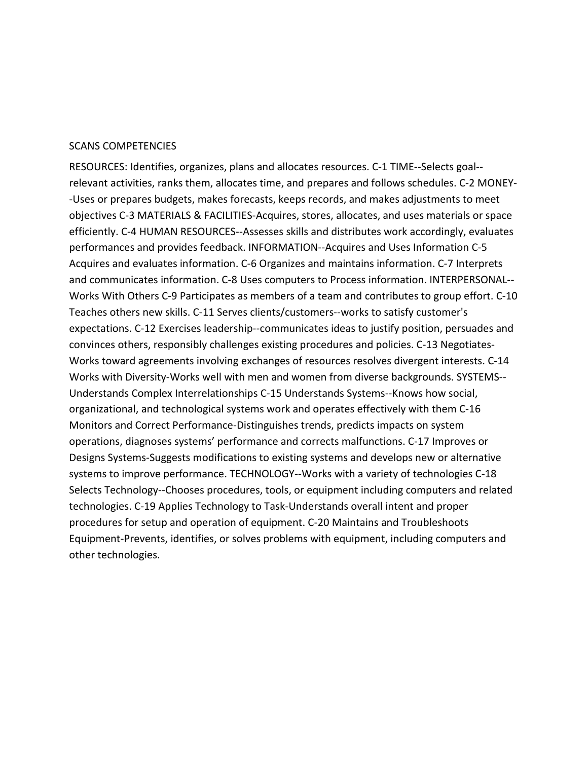#### SCANS COMPETENCIES

RESOURCES: Identifies, organizes, plans and allocates resources. C-1 TIME--Selects goal- relevant activities, ranks them, allocates time, and prepares and follows schedules. C-2 MONEY- -Uses or prepares budgets, makes forecasts, keeps records, and makes adjustments to meet objectives C-3 MATERIALS & FACILITIES-Acquires, stores, allocates, and uses materials or space efficiently. C-4 HUMAN RESOURCES--Assesses skills and distributes work accordingly, evaluates performances and provides feedback. INFORMATION--Acquires and Uses Information C-5 Acquires and evaluates information. C-6 Organizes and maintains information. C-7 Interprets and communicates information. C-8 Uses computers to Process information. INTERPERSONAL-- Works With Others C-9 Participates as members of a team and contributes to group effort. C-10 Teaches others new skills. C-11 Serves clients/customers--works to satisfy customer's expectations. C-12 Exercises leadership--communicates ideas to justify position, persuades and convinces others, responsibly challenges existing procedures and policies. C-13 Negotiates-Works toward agreements involving exchanges of resources resolves divergent interests. C-14 Works with Diversity-Works well with men and women from diverse backgrounds. SYSTEMS-- Understands Complex Interrelationships C-15 Understands Systems--Knows how social, organizational, and technological systems work and operates effectively with them C-16 Monitors and Correct Performance-Distinguishes trends, predicts impacts on system operations, diagnoses systems' performance and corrects malfunctions. C-17 Improves or Designs Systems-Suggests modifications to existing systems and develops new or alternative systems to improve performance. TECHNOLOGY--Works with a variety of technologies C-18 Selects Technology--Chooses procedures, tools, or equipment including computers and related technologies. C-19 Applies Technology to Task-Understands overall intent and proper procedures for setup and operation of equipment. C-20 Maintains and Troubleshoots Equipment-Prevents, identifies, or solves problems with equipment, including computers and other technologies.